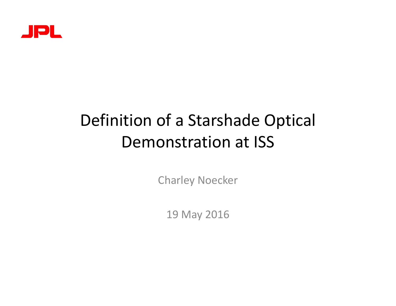

# Definition of a Starshade Optical Demonstration at ISS

Charley Noecker

19 May 2016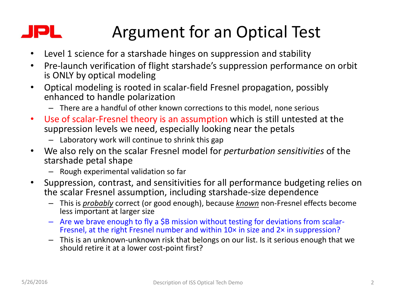#### Argument for an Optical Test IPL.

- Level 1 science for a starshade hinges on suppression and stability
- Pre-launch verification of flight starshade's suppression performance on orbit is ONLY by optical modeling
- Optical modeling is rooted in scalar-field Fresnel propagation, possibly enhanced to handle polarization
	- There are a handful of other known corrections to this model, none serious
- Use of scalar-Fresnel theory is an assumption which is still untested at the suppression levels we need, especially looking near the petals
	- Laboratory work will continue to shrink this gap
- We also rely on the scalar Fresnel model for *perturbation sensitivities* of the starshade petal shape
	- Rough experimental validation so far
- Suppression, contrast, and sensitivities for all performance budgeting relies on the scalar Fresnel assumption, including starshade‐size dependence
	- This is *probably* correct (or good enough), because *known* non‐Fresnel effects become less important at larger size
	- Are we brave enough to fly <sup>a</sup> \$B mission without testing for deviations from scalar‐ Fresnel, at the right Fresnel number and within 10× in size and 2× in suppression?
	- This is an unknown‐unknown risk that belongs on our list. Is it serious enough that we should retire it at a lower cost‐point first?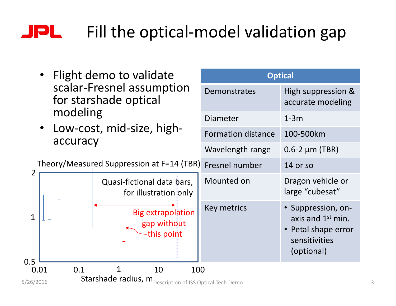#### JPL. Fill the optical‐model validation gap

- Flight demo to validate scalar-Fresn for starshad modeling
- Low-cost, m<br>accuracy

1

 $0.5 \Box$ <br> $0.01$ 

2

| el assumption<br>e optical                        | <b>Demonstrates</b>       | High suppression &<br>accurate modeling |  |
|---------------------------------------------------|---------------------------|-----------------------------------------|--|
| iid-size, high-                                   | Diameter                  | $1-3m$                                  |  |
|                                                   | <b>Formation distance</b> | 100-500km                               |  |
|                                                   | Wavelength range          | $0.6 - 2 \mu m$ (TBR)                   |  |
| ppression at F=14 (TBR)                           | Fresnel number            | 14 or so                                |  |
| asi-fictional data bars,<br>for illustration only | Mounted on                | Dragon vehicle or<br>large "cubesat"    |  |
| Rig extrapolation                                 | Key metrics               | · Suppression, on-                      |  |



**Optical**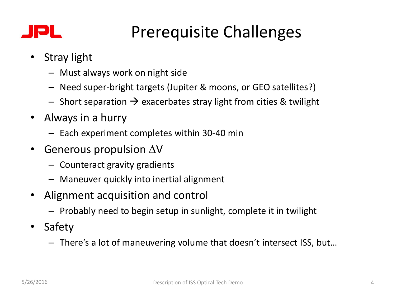### IPL.

## Prerequisite Challenges

- Stray light
	- Must always work on night side
	- Need super‐bright targets (Jupiter & moons, or GEO satellites?)
	- $\overline{\phantom{a}}$  Short separation  $\rightarrow$  exacerbates stray light from cities & twilight
- Always in a hurry
	- Each experiment completes within 30‐40 min
- Generous propulsion  $\Delta V$ 
	- Counteract gravity gradients
	- Maneuver quickly into inertial alignment
- Alignment acquisition and control
	- Probably need to begin setup in sunlight, complete it in twilight
- Safety
	- There's a lot of maneuvering volume that doesn't intersect ISS, but…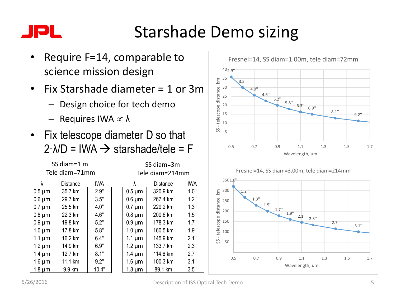# Starshade Demo sizing

SS diam=3m

- Require F=14, comparable to science mission design
- Fix Starshade diameter = 1 or 3m
	- Design choice for tech demo
	- $-$  Requires IWA  $\propto \lambda$

λ Distance IWA  $0.5 \,\text{\mu m}$   $35.7 \,\text{k m}$   $2.9^{\circ}$ 0.6 um 29.7 km 3.5"  $0.7 \text{ µm}$   $\vert$  25.5 km  $\vert$  4.0"  $0.8 \,\mathrm{\upmu m}$  22.3 km  $\vert$  4.6"  $0.9 \,\mathrm{\upmu m}$  19.8 km  $\vert$  5.2" 1.0  $\mu$ m | 17.8 km | 5.8" 1.1 um | 16.2 km | 6.4" 1.2  $\mu$ m | 14.9 km | 6.9" 1.4  $\mu$ m | 12.7 km | 8.1" 1.6  $\mu$ m | 11.1 km | 9.2" 1.8 um | 9.9 km | 10.4"

SS diam=1 m Tele diam=71mm

• Fix telescope diameter D so that  $2 \cdot \lambda/D = IWA \rightarrow starshade/tele = F$ 





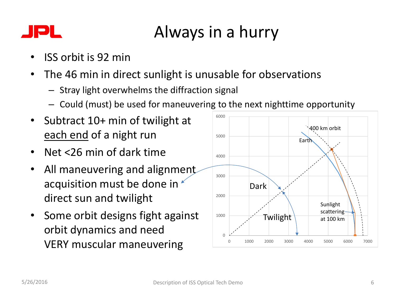#### Always in a hurry IPL

- ISS orbit is 92 min
- The 46 min in direct sunlight is unusable for observations
	- Stray light overwhelms the diffraction signal
	- Could (must) be used for maneuvering to the next nighttime opportunity
- Subtract 10+ min of twilight at each end of a night run
- Net <26 min of dark time
- All maneuvering and alignment acquisition must be done in  $\epsilon$ direct sun and twilight
- Some orbit designs fight against orbit dynamics and need VERY muscular maneuvering

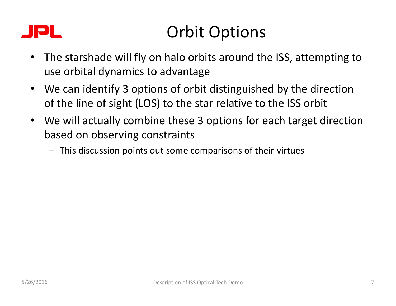### IPL.

# Orbit Options

- The starshade will fly on halo orbits around the ISS, attempting to use orbital dynamics to advantage
- We can identify 3 options of orbit distinguished by the direction of the line of sight (LOS) to the star relative to the ISS orbit
- We will actually combine these 3 options for each target direction based on observing constraints
	- This discussion points out some comparisons of their virtues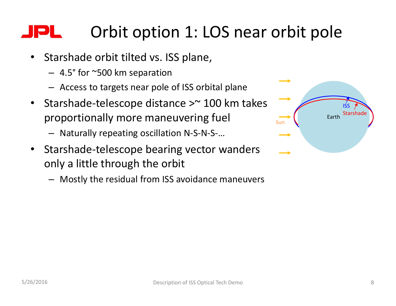#### Orbit option 1: LOS near orbit pole IPL.

- Starshade orbit tilted vs. ISS plane,
	- 4.5° for ~500 km separation
	- Access to targets near pole of ISS orbital plane
- Starshade‐telescope distance >~ 100 km takes proportionally more maneuvering fuel
	- Naturally repeating oscillation N‐S‐N‐S‐…
- Starshade-telescope bearing vector wanders only a little through the orbit
	- Mostly the residual from ISS avoidance maneuvers

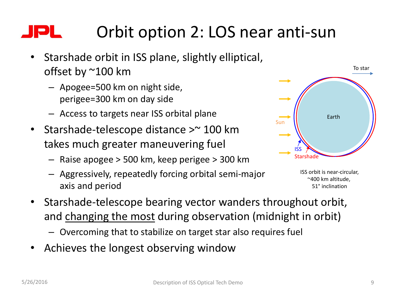#### Orbit option 2: LOS near anti‐sun IPL

- Starshade orbit in ISS plane, slightly elliptical, offset by ~100 km
	- Apogee=500 km on night side, perigee=300 km on day side
	- Access to targets near ISS orbital plane
- Starshade‐telescope distance >~ 100 km takes much greater maneuvering fuel
	- Raise apogee > 500 km, keep perigee > 300 km
	- Aggressively, repeatedly forcing orbital semi‐major axis and period



ISS orbit is near‐circular, ~400 km altitude, 51° inclination

- Starshade‐telescope bearing vector wanders throughout orbit, and changing the most during observation (midnight in orbit)
	- Overcoming that to stabilize on target star also requires fuel
- Achieves the longest observing window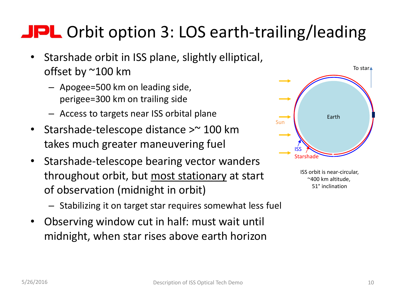# JPL Orbit option 3: LOS earth-trailing/leading

- Starshade orbit in ISS plane, slightly elliptical, offset by ~100 km
	- Apogee=500 km on leading side, perigee=300 km on trailing side
	- Access to targets near ISS orbital plane
- Starshade‐telescope distance >~ 100 km takes much greater maneuvering fuel
- Starshade‐telescope bearing vector wanders throughout orbit, but most stationary at start of observation (midnight in orbit)
	- Stabilizing it on target star requires somewhat less fuel
- Observing window cut in half: must wait until midnight, when star rises above earth horizon



ISS orbit is near‐circular, ~400 km altitude, 51° inclination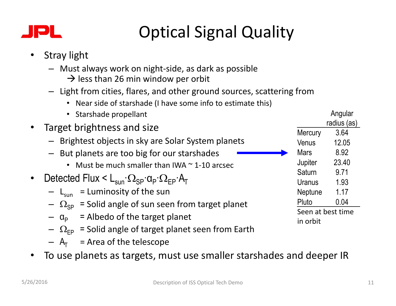

# Optical Signal Quality

- Stray light
	- Must always work on night‐side, as dark as possible
		- $\rightarrow$  less than 26 min window per orbit
	- Light from cities, flares, and other ground sources, scattering from
		- Near side of starshade (I have some info to estimate this)
- Starshade propellant • Target brightness and size – Brightest objects in sky are Solar System planets – But planets are too big for our starshades • Must be much smaller than IWA  $\sim$  1-10 arcsec • Detected Flux  $\lt L_{\text{sun}} \cdot \Omega_{\text{SP}} \cdot \Omega_{\text{FP}} \cdot A_{\text{T}}$ - L<sub>sun</sub> = Luminosity of the sun  $-\Omega_{SP}$  = Solid angle of sun seen from target planet  $-\alpha_{\rm p}$  = Albedo of the target planet  $-\Omega_{\text{FP}}$  = Solid angle of target planet seen from Earth Angular radius (as) Mercury 3.64 Venus 12.05 Mars 8.92 Jupiter 23.40 Saturn 9.71 Uranus 1.93 Neptune 1.17 Pluto 0.04 Seen at best time in orbit
	- $A_T$  = Area of the telescope
- To use planets as targets, must use smaller starshades and deeper IR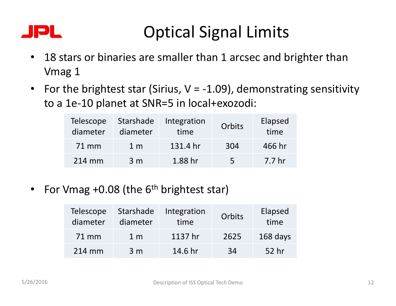### JPL

## Optical Signal Limits

- 18 stars or binaries are smaller than 1 arcsec and brighter than Vmag 1
- For the brightest star (Sirius,  $V = -1.09$ ), demonstrating sensitivity to a 1e‐10 planet at SNR=5 in local+exozodi:

| <b>Telescope</b><br>diameter | Starshade<br>diameter | Integration<br>time | Orbits | Elapsed<br>time   |
|------------------------------|-----------------------|---------------------|--------|-------------------|
| 71 mm                        | 1 <sub>m</sub>        | 131.4 hr            | 304    | 466 hr            |
| 214 mm                       | 3 <sub>m</sub>        | 1.88 hr             | 5      | 7.7 <sub>hr</sub> |

• For Vmag  $+0.08$  (the  $6<sup>th</sup>$  brightest star)

| <b>Telescope</b><br>diameter | Starshade<br>diameter | Integration<br>time | Orbits | Elapsed<br>time |
|------------------------------|-----------------------|---------------------|--------|-----------------|
| 71 mm                        | 1 <sub>m</sub>        | 1137 hr             | 2625   | 168 days        |
| 214 mm                       | 3 <sub>m</sub>        | 14.6 hr             | 34     | 52 hr           |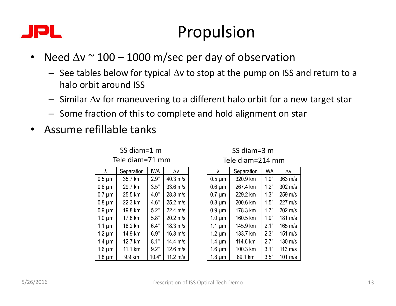### IPL.

## Propulsion

- Need  $\Delta v \approx 100 1000$  m/sec per day of observation
	- See tables below for typical  $\Delta v$  to stop at the pump on ISS and return to a halo orbit around ISS
	- $-$  Similar  $\Delta v$  for maneuvering to a different halo orbit for a new target star
	- Some fraction of this to complete and hold alignment on star
- Assume refillable tanks

| λ           | Separation | IWA   | $\Lambda v$        |
|-------------|------------|-------|--------------------|
| $0.5 \mu m$ | 35.7 km    | 2.9"  | $40.3$ m/s         |
| $0.6 \mu m$ | 29.7 km    | 3.5"  | $33.6$ m/s         |
| $0.7 \mu m$ | 25.5 km    | 4.0"  | $28.8 \text{ m/s}$ |
| $0.8 \mu m$ | 22.3 km    | 4.6"  | $25.2$ m/s         |
| $0.9 \mu m$ | 19.8 km    | 5.2"  | $22.4$ m/s         |
| $1.0 \mu m$ | 17.8 km    | 5.8"  | $20.2$ m/s         |
| $1.1 \mu m$ | 16.2 km    | 6.4"  | $18.3$ m/s         |
| $1.2 \mu m$ | 14.9 km    | 6.9"  | $16.8$ m/s         |
| $1.4 \mu m$ | 12.7 km    | 8.1"  | 14.4 m/s           |
| $1.6 \mu m$ | 11.1 km    | 9.2"  | $12.6$ m/s         |
| 1.8 um      | 9.9 km     | 10.4" | $11.2 \text{ m/s}$ |

SS diam=1 m Tele diam=71 mm

SS diam=3 m Tele diam=214 mm

| λ           | Separation | <b>IWA</b> | $\Delta v$        |
|-------------|------------|------------|-------------------|
| $0.5 \mu m$ | 320.9 km   | 1.0"       | 363 m/s           |
| $0.6 \mu m$ | 267.4 km   | 1.2"       | 302 m/s           |
| $0.7 \mu m$ | 229.2 km   | 1.3"       | 259 m/s           |
| $0.8 \mu m$ | 200.6 km   | 1.5"       | 227 m/s           |
| $0.9 \mu m$ | 178.3 km   | 1.7"       | 202 m/s           |
| $1.0 \mu m$ | 160.5 km   | 1.9"       | 181 m/s           |
| $1.1 \mu m$ | 145.9 km   | 2.1"       | 165 m/s           |
| $1.2 \mu m$ | 133.7 km   | 2.3"       | 151 m/s           |
| $1.4 \mu m$ | 114.6 km   | 2.7"       | 130 m/s           |
| $1.6 \mu m$ | 100.3 km   | 3.1"       | $113 \text{ m/s}$ |
| $1.8 \mu m$ | 89.1 km    | 3.5"       | 101 m/s           |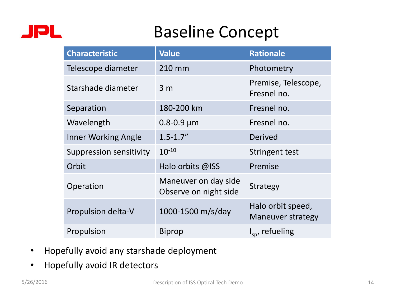

## Baseline Concept

| <b>Characteristic</b>          | <b>Value</b>                                  | <b>Rationale</b>                              |
|--------------------------------|-----------------------------------------------|-----------------------------------------------|
| Telescope diameter             | 210 mm                                        | Photometry                                    |
| Starshade diameter             | 3 <sub>m</sub>                                | Premise, Telescope,<br>Fresnel no.            |
| Separation                     | 180-200 km                                    | Fresnel no.                                   |
| Wavelength                     | $0.8 - 0.9 \mu m$                             | Fresnel no.                                   |
| <b>Inner Working Angle</b>     | $1.5 - 1.7''$                                 | Derived                                       |
| <b>Suppression sensitivity</b> | $10^{-10}$                                    | Stringent test                                |
| Orbit                          | Halo orbits @ISS                              | Premise                                       |
| Operation                      | Maneuver on day side<br>Observe on night side | <b>Strategy</b>                               |
| Propulsion delta-V             | 1000-1500 m/s/day                             | Halo orbit speed,<br><b>Maneuver strategy</b> |
| Propulsion                     | Biprop                                        | $I_{sn}$ , refueling                          |

- Hopefully avoid any starshade deployment
- Hopefully avoid IR detectors